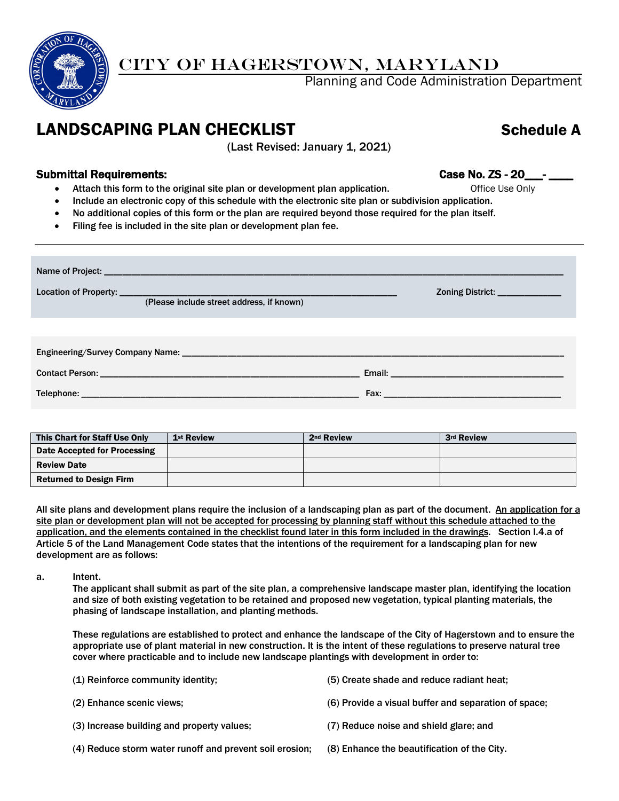

## CITY OF HAGERSTOWN, MARYLAND

Planning and Code Administration Department

## LANDSCAPING PLAN CHECKLIST Schedule A

(Last Revised: January 1, 2021)

#### Submittal Requirements: Case No. ZS - 20\_\_\_- \_\_\_\_

- Attach this form to the original site plan or development plan application. The office Use Only
- Include an electronic copy of this schedule with the electronic site plan or subdivision application.
- No additional copies of this form or the plan are required beyond those required for the plan itself.
- Filing fee is included in the site plan or development plan fee.

| (Please include street address, if known) | Zoning District: _______________ |
|-------------------------------------------|----------------------------------|
|                                           |                                  |
|                                           |                                  |
|                                           |                                  |

| This Chart for Staff Use Only  | 1 <sup>st</sup> Review | 2 <sup>nd</sup> Review | 3rd Review |
|--------------------------------|------------------------|------------------------|------------|
| Date Accepted for Processing   |                        |                        |            |
| <b>Review Date</b>             |                        |                        |            |
| <b>Returned to Design Firm</b> |                        |                        |            |

All site plans and development plans require the inclusion of a landscaping plan as part of the document. An application for a site plan or development plan will not be accepted for processing by planning staff without this schedule attached to the application, and the elements contained in the checklist found later in this form included in the drawings. Section I.4.a of Article 5 of the Land Management Code states that the intentions of the requirement for a landscaping plan for new development are as follows:

a. Intent.

The applicant shall submit as part of the site plan, a comprehensive landscape master plan, identifying the location and size of both existing vegetation to be retained and proposed new vegetation, typical planting materials, the phasing of landscape installation, and planting methods.

These regulations are established to protect and enhance the landscape of the City of Hagerstown and to ensure the appropriate use of plant material in new construction. It is the intent of these regulations to preserve natural tree cover where practicable and to include new landscape plantings with development in order to:

| (1) Reinforce community identity;                       | (5) Create shade and reduce radiant heat:            |
|---------------------------------------------------------|------------------------------------------------------|
| (2) Enhance scenic views:                               | (6) Provide a visual buffer and separation of space: |
| (3) Increase building and property values;              | (7) Reduce noise and shield glare; and               |
| (4) Reduce storm water runoff and prevent soil erosion; | (8) Enhance the beautification of the City.          |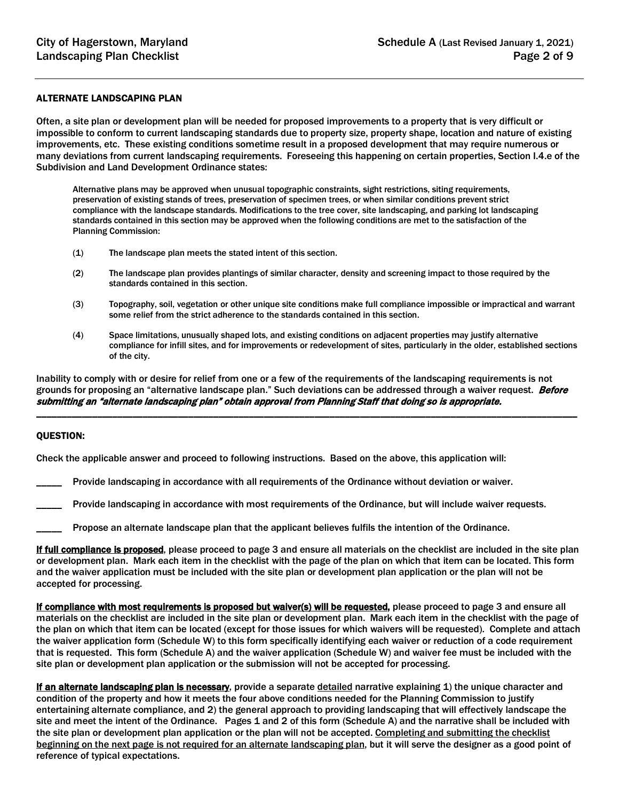#### ALTERNATE LANDSCAPING PLAN

Often, a site plan or development plan will be needed for proposed improvements to a property that is very difficult or impossible to conform to current landscaping standards due to property size, property shape, location and nature of existing improvements, etc. These existing conditions sometime result in a proposed development that may require numerous or many deviations from current landscaping requirements. Foreseeing this happening on certain properties, Section I.4.e of the Subdivision and Land Development Ordinance states:

Alternative plans may be approved when unusual topographic constraints, sight restrictions, siting requirements, preservation of existing stands of trees, preservation of specimen trees, or when similar conditions prevent strict compliance with the landscape standards. Modifications to the tree cover, site landscaping, and parking lot landscaping standards contained in this section may be approved when the following conditions are met to the satisfaction of the Planning Commission:

- (1) The landscape plan meets the stated intent of this section.
- (2) The landscape plan provides plantings of similar character, density and screening impact to those required by the standards contained in this section.
- (3) Topography, soil, vegetation or other unique site conditions make full compliance impossible or impractical and warrant some relief from the strict adherence to the standards contained in this section.
- (4) Space limitations, unusually shaped lots, and existing conditions on adjacent properties may justify alternative compliance for infill sites, and for improvements or redevelopment of sites, particularly in the older, established sections of the city.

Inability to comply with or desire for relief from one or a few of the requirements of the landscaping requirements is not grounds for proposing an "alternative landscape plan." Such deviations can be addressed through a waiver request. Before submitting an "alternate landscaping plan" obtain approval from Planning Staff that doing so is appropriate.

\_\_\_\_\_\_\_\_\_\_\_\_\_\_\_\_\_\_\_\_\_\_\_\_\_\_\_\_\_\_\_\_\_\_\_\_\_\_\_\_\_\_\_\_\_\_\_\_\_\_\_\_\_\_\_\_\_\_\_\_\_\_\_\_\_\_\_\_\_\_\_\_\_\_\_\_\_\_\_\_\_\_\_\_\_\_\_\_\_\_\_\_\_\_\_\_\_\_\_\_\_\_\_\_\_\_\_

#### QUESTION:

Check the applicable answer and proceed to following instructions. Based on the above, this application will:

Provide landscaping in accordance with all requirements of the Ordinance without deviation or waiver.

Provide landscaping in accordance with most requirements of the Ordinance, but will include waiver requests.

Propose an alternate landscape plan that the applicant believes fulfils the intention of the Ordinance.

If full compliance is proposed, please proceed to page 3 and ensure all materials on the checklist are included in the site plan or development plan. Mark each item in the checklist with the page of the plan on which that item can be located. This form and the waiver application must be included with the site plan or development plan application or the plan will not be accepted for processing.

If compliance with most requirements is proposed but waiver(s) will be requested, please proceed to page 3 and ensure all materials on the checklist are included in the site plan or development plan. Mark each item in the checklist with the page of the plan on which that item can be located (except for those issues for which waivers will be requested). Complete and attach the waiver application form (Schedule W) to this form specifically identifying each waiver or reduction of a code requirement that is requested. This form (Schedule A) and the waiver application (Schedule W) and waiver fee must be included with the site plan or development plan application or the submission will not be accepted for processing.

If an alternate landscaping plan is necessary, provide a separate detailed narrative explaining 1) the unique character and condition of the property and how it meets the four above conditions needed for the Planning Commission to justify entertaining alternate compliance, and 2) the general approach to providing landscaping that will effectively landscape the site and meet the intent of the Ordinance. Pages 1 and 2 of this form (Schedule A) and the narrative shall be included with the site plan or development plan application or the plan will not be accepted. Completing and submitting the checklist beginning on the next page is not required for an alternate landscaping plan, but it will serve the designer as a good point of reference of typical expectations.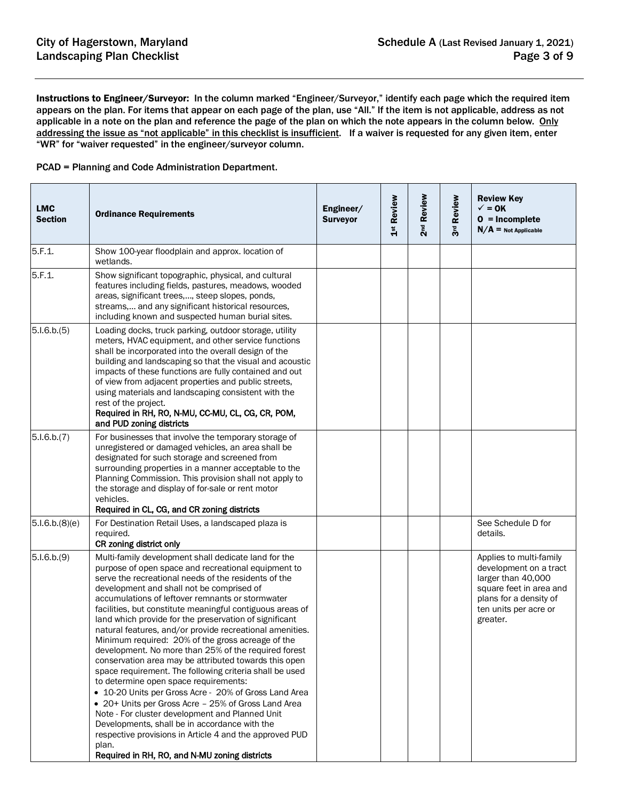Instructions to Engineer/Surveyor: In the column marked "Engineer/Surveyor," identify each page which the required item appears on the plan. For items that appear on each page of the plan, use "All." If the item is not applicable, address as not applicable in a note on the plan and reference the page of the plan on which the note appears in the column below. Only addressing the issue as "not applicable" in this checklist is insufficient. If a waiver is requested for any given item, enter "WR" for "waiver requested" in the engineer/surveyor column.

PCAD = Planning and Code Administration Department.

| <b>LMC</b><br><b>Section</b> | <b>Ordinance Requirements</b>                                                                                                                                                                                                                                                                                                                                                                                                                                                                                                                                                                                                                                                                                                                                                                                                                                                                                                                                                                                                                                              | Engineer/<br><b>Surveyor</b> | 1st Review | 2 <sup>nd</sup> Review | Review<br>3 <sup>d</sup> | <b>Review Key</b><br>$\checkmark$ = 0K<br>$0 = Incomplete$<br>$N/A$ = Not Applicable                                                                              |
|------------------------------|----------------------------------------------------------------------------------------------------------------------------------------------------------------------------------------------------------------------------------------------------------------------------------------------------------------------------------------------------------------------------------------------------------------------------------------------------------------------------------------------------------------------------------------------------------------------------------------------------------------------------------------------------------------------------------------------------------------------------------------------------------------------------------------------------------------------------------------------------------------------------------------------------------------------------------------------------------------------------------------------------------------------------------------------------------------------------|------------------------------|------------|------------------------|--------------------------|-------------------------------------------------------------------------------------------------------------------------------------------------------------------|
| 5.F.1.                       | Show 100-year floodplain and approx. location of<br>wetlands.                                                                                                                                                                                                                                                                                                                                                                                                                                                                                                                                                                                                                                                                                                                                                                                                                                                                                                                                                                                                              |                              |            |                        |                          |                                                                                                                                                                   |
| 5.F.1.                       | Show significant topographic, physical, and cultural<br>features including fields, pastures, meadows, wooded<br>areas, significant trees,, steep slopes, ponds,<br>streams, and any significant historical resources,<br>including known and suspected human burial sites.                                                                                                                                                                                                                                                                                                                                                                                                                                                                                                                                                                                                                                                                                                                                                                                                 |                              |            |                        |                          |                                                                                                                                                                   |
| 5.1.6.b.(5)                  | Loading docks, truck parking, outdoor storage, utility<br>meters, HVAC equipment, and other service functions<br>shall be incorporated into the overall design of the<br>building and landscaping so that the visual and acoustic<br>impacts of these functions are fully contained and out<br>of view from adjacent properties and public streets,<br>using materials and landscaping consistent with the<br>rest of the project.<br>Required in RH, RO, N-MU, CC-MU, CL, CG, CR, POM,<br>and PUD zoning districts                                                                                                                                                                                                                                                                                                                                                                                                                                                                                                                                                        |                              |            |                        |                          |                                                                                                                                                                   |
| 5.1.6.b.(7)                  | For businesses that involve the temporary storage of<br>unregistered or damaged vehicles, an area shall be<br>designated for such storage and screened from<br>surrounding properties in a manner acceptable to the<br>Planning Commission. This provision shall not apply to<br>the storage and display of for-sale or rent motor<br>vehicles.<br>Required in CL, CG, and CR zoning districts                                                                                                                                                                                                                                                                                                                                                                                                                                                                                                                                                                                                                                                                             |                              |            |                        |                          |                                                                                                                                                                   |
| 5.1.6.b.(8)(e)               | For Destination Retail Uses, a landscaped plaza is<br>required.<br>CR zoning district only                                                                                                                                                                                                                                                                                                                                                                                                                                                                                                                                                                                                                                                                                                                                                                                                                                                                                                                                                                                 |                              |            |                        |                          | See Schedule D for<br>details.                                                                                                                                    |
| 5.1.6.b.(9)                  | Multi-family development shall dedicate land for the<br>purpose of open space and recreational equipment to<br>serve the recreational needs of the residents of the<br>development and shall not be comprised of<br>accumulations of leftover remnants or stormwater<br>facilities, but constitute meaningful contiguous areas of<br>land which provide for the preservation of significant<br>natural features, and/or provide recreational amenities.<br>Minimum required: 20% of the gross acreage of the<br>development. No more than 25% of the required forest<br>conservation area may be attributed towards this open<br>space requirement. The following criteria shall be used<br>to determine open space requirements:<br>• 10-20 Units per Gross Acre - 20% of Gross Land Area<br>• 20+ Units per Gross Acre - 25% of Gross Land Area<br>Note - For cluster development and Planned Unit<br>Developments, shall be in accordance with the<br>respective provisions in Article 4 and the approved PUD<br>plan.<br>Required in RH, RO, and N-MU zoning districts |                              |            |                        |                          | Applies to multi-family<br>development on a tract<br>larger than 40,000<br>square feet in area and<br>plans for a density of<br>ten units per acre or<br>greater. |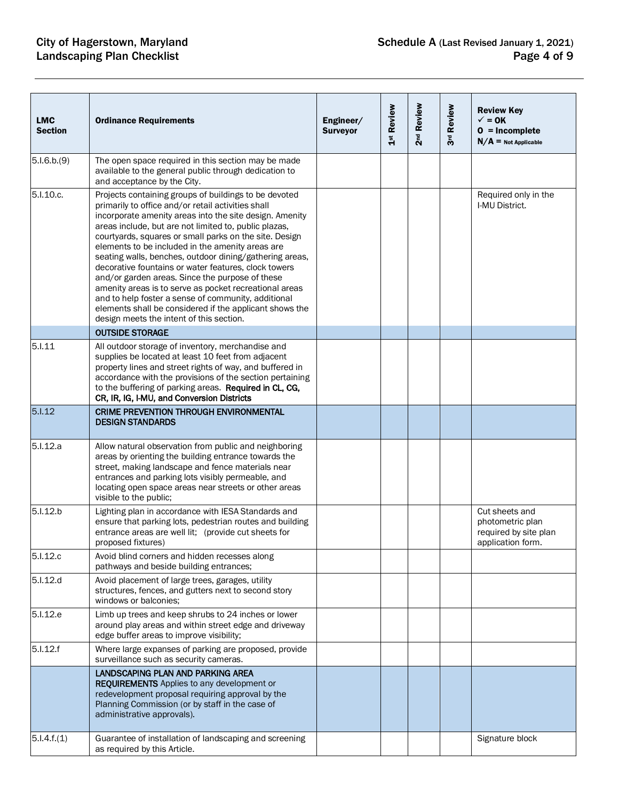| <b>LMC</b><br><b>Section</b> | <b>Ordinance Requirements</b>                                                                                                                                                                                                                                                                                                                                                                                                                                                                                                                                                                                                                                                                                                               | Engineer/<br><b>Surveyor</b> | 1st Review | 2 <sup>nd</sup> Review | 3rd Review | <b>Review Key</b><br>$\checkmark$ = 0K<br>$0 = Incomplete$<br>$N/A$ = Not Applicable |
|------------------------------|---------------------------------------------------------------------------------------------------------------------------------------------------------------------------------------------------------------------------------------------------------------------------------------------------------------------------------------------------------------------------------------------------------------------------------------------------------------------------------------------------------------------------------------------------------------------------------------------------------------------------------------------------------------------------------------------------------------------------------------------|------------------------------|------------|------------------------|------------|--------------------------------------------------------------------------------------|
| 5.1.6.b.(9)                  | The open space required in this section may be made<br>available to the general public through dedication to<br>and acceptance by the City.                                                                                                                                                                                                                                                                                                                                                                                                                                                                                                                                                                                                 |                              |            |                        |            |                                                                                      |
| 5.I.10.c.                    | Projects containing groups of buildings to be devoted<br>primarily to office and/or retail activities shall<br>incorporate amenity areas into the site design. Amenity<br>areas include, but are not limited to, public plazas,<br>courtyards, squares or small parks on the site. Design<br>elements to be included in the amenity areas are<br>seating walls, benches, outdoor dining/gathering areas,<br>decorative fountains or water features, clock towers<br>and/or garden areas. Since the purpose of these<br>amenity areas is to serve as pocket recreational areas<br>and to help foster a sense of community, additional<br>elements shall be considered if the applicant shows the<br>design meets the intent of this section. |                              |            |                        |            | Required only in the<br>I-MU District.                                               |
|                              | <b>OUTSIDE STORAGE</b>                                                                                                                                                                                                                                                                                                                                                                                                                                                                                                                                                                                                                                                                                                                      |                              |            |                        |            |                                                                                      |
| 5.1.11                       | All outdoor storage of inventory, merchandise and<br>supplies be located at least 10 feet from adjacent<br>property lines and street rights of way, and buffered in<br>accordance with the provisions of the section pertaining<br>to the buffering of parking areas. Required in CL, CG,<br>CR, IR, IG, I-MU, and Conversion Districts                                                                                                                                                                                                                                                                                                                                                                                                     |                              |            |                        |            |                                                                                      |
| 5.1.12                       | <b>CRIME PREVENTION THROUGH ENVIRONMENTAL</b><br><b>DESIGN STANDARDS</b>                                                                                                                                                                                                                                                                                                                                                                                                                                                                                                                                                                                                                                                                    |                              |            |                        |            |                                                                                      |
| 5.I.12.a                     | Allow natural observation from public and neighboring<br>areas by orienting the building entrance towards the<br>street, making landscape and fence materials near<br>entrances and parking lots visibly permeable, and<br>locating open space areas near streets or other areas<br>visible to the public;                                                                                                                                                                                                                                                                                                                                                                                                                                  |                              |            |                        |            |                                                                                      |
| 5.I.12.b                     | Lighting plan in accordance with IESA Standards and<br>ensure that parking lots, pedestrian routes and building<br>entrance areas are well lit; (provide cut sheets for<br>proposed fixtures)                                                                                                                                                                                                                                                                                                                                                                                                                                                                                                                                               |                              |            |                        |            | Cut sheets and<br>photometric plan<br>required by site plan<br>application form.     |
| 5.I.12.c                     | Avoid blind corners and hidden recesses along<br>pathways and beside building entrances;                                                                                                                                                                                                                                                                                                                                                                                                                                                                                                                                                                                                                                                    |                              |            |                        |            |                                                                                      |
| 5.I.12.d                     | Avoid placement of large trees, garages, utility<br>structures, fences, and gutters next to second story<br>windows or balconies:                                                                                                                                                                                                                                                                                                                                                                                                                                                                                                                                                                                                           |                              |            |                        |            |                                                                                      |
| 5.I.12.e                     | Limb up trees and keep shrubs to 24 inches or lower<br>around play areas and within street edge and driveway<br>edge buffer areas to improve visibility;                                                                                                                                                                                                                                                                                                                                                                                                                                                                                                                                                                                    |                              |            |                        |            |                                                                                      |
| 5.1.12.f                     | Where large expanses of parking are proposed, provide<br>surveillance such as security cameras.                                                                                                                                                                                                                                                                                                                                                                                                                                                                                                                                                                                                                                             |                              |            |                        |            |                                                                                      |
|                              | LANDSCAPING PLAN AND PARKING AREA<br><b>REQUIREMENTS</b> Applies to any development or<br>redevelopment proposal requiring approval by the<br>Planning Commission (or by staff in the case of<br>administrative approvals).                                                                                                                                                                                                                                                                                                                                                                                                                                                                                                                 |                              |            |                        |            |                                                                                      |
| 5.1.4.f.(1)                  | Guarantee of installation of landscaping and screening<br>as required by this Article.                                                                                                                                                                                                                                                                                                                                                                                                                                                                                                                                                                                                                                                      |                              |            |                        |            | Signature block                                                                      |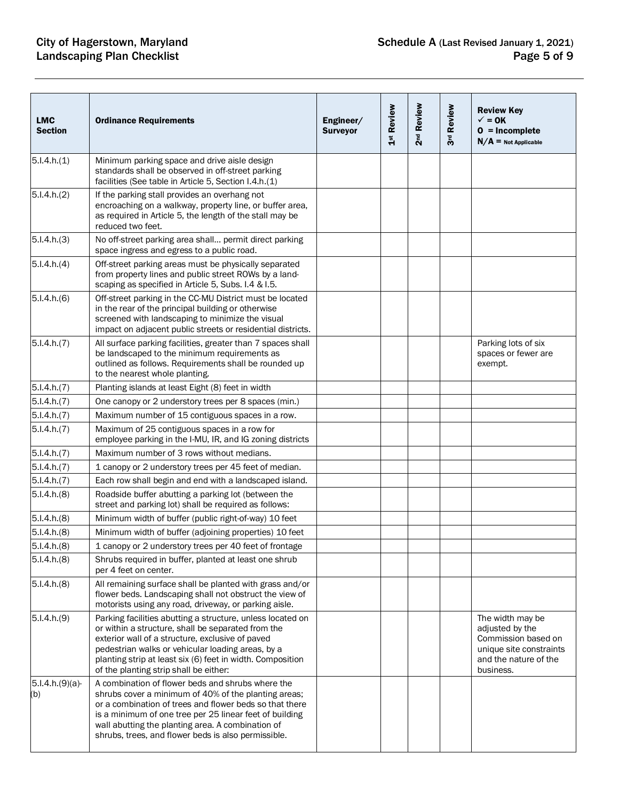# City of Hagerstown, Maryland<br>Landscaping Plan Checklist

| <b>LMC</b><br><b>Section</b> | <b>Ordinance Requirements</b>                                                                                                                                                                                                                                                                                                               | Engineer/<br><b>Surveyor</b> | 1st Review | 2 <sup>nd</sup> Review | 3rd Review | <b>Review Key</b><br>$\checkmark$ = 0K<br>$0 = Incomplete$<br>$N/A$ = Not Applicable                                        |
|------------------------------|---------------------------------------------------------------------------------------------------------------------------------------------------------------------------------------------------------------------------------------------------------------------------------------------------------------------------------------------|------------------------------|------------|------------------------|------------|-----------------------------------------------------------------------------------------------------------------------------|
| 5.1.4.h.(1)                  | Minimum parking space and drive aisle design<br>standards shall be observed in off-street parking<br>facilities (See table in Article 5, Section I.4.h.(1)                                                                                                                                                                                  |                              |            |                        |            |                                                                                                                             |
| 5.1.4.h.(2)                  | If the parking stall provides an overhang not<br>encroaching on a walkway, property line, or buffer area,<br>as required in Article 5, the length of the stall may be<br>reduced two feet.                                                                                                                                                  |                              |            |                        |            |                                                                                                                             |
| 5.1.4.h.(3)                  | No off-street parking area shall permit direct parking<br>space ingress and egress to a public road.                                                                                                                                                                                                                                        |                              |            |                        |            |                                                                                                                             |
| 5.1.4.h.(4)                  | Off-street parking areas must be physically separated<br>from property lines and public street ROWs by a land-<br>scaping as specified in Article 5, Subs. I.4 & I.5.                                                                                                                                                                       |                              |            |                        |            |                                                                                                                             |
| 5.1.4.h.(6)                  | Off-street parking in the CC-MU District must be located<br>in the rear of the principal building or otherwise<br>screened with landscaping to minimize the visual<br>impact on adjacent public streets or residential districts.                                                                                                           |                              |            |                        |            |                                                                                                                             |
| 5.1.4.h.(7)                  | All surface parking facilities, greater than 7 spaces shall<br>be landscaped to the minimum requirements as<br>outlined as follows. Requirements shall be rounded up<br>to the nearest whole planting.                                                                                                                                      |                              |            |                        |            | Parking lots of six<br>spaces or fewer are<br>exempt.                                                                       |
| 5.1.4.h.(7)                  | Planting islands at least Eight (8) feet in width                                                                                                                                                                                                                                                                                           |                              |            |                        |            |                                                                                                                             |
| 5.1.4.h.(7)                  | One canopy or 2 understory trees per 8 spaces (min.)                                                                                                                                                                                                                                                                                        |                              |            |                        |            |                                                                                                                             |
| 5.1.4.h.(7)                  | Maximum number of 15 contiguous spaces in a row.                                                                                                                                                                                                                                                                                            |                              |            |                        |            |                                                                                                                             |
| 5.1.4.h.(7)                  | Maximum of 25 contiguous spaces in a row for<br>employee parking in the I-MU, IR, and IG zoning districts                                                                                                                                                                                                                                   |                              |            |                        |            |                                                                                                                             |
| 5.1.4.h.(7)                  | Maximum number of 3 rows without medians.                                                                                                                                                                                                                                                                                                   |                              |            |                        |            |                                                                                                                             |
| 5.1.4.h.(7)                  | 1 canopy or 2 understory trees per 45 feet of median.                                                                                                                                                                                                                                                                                       |                              |            |                        |            |                                                                                                                             |
| 5.1.4.h.(7)                  | Each row shall begin and end with a landscaped island.                                                                                                                                                                                                                                                                                      |                              |            |                        |            |                                                                                                                             |
| 5.1.4.h.(8)                  | Roadside buffer abutting a parking lot (between the<br>street and parking lot) shall be required as follows:                                                                                                                                                                                                                                |                              |            |                        |            |                                                                                                                             |
| 5.1.4.h.(8)                  | Minimum width of buffer (public right-of-way) 10 feet                                                                                                                                                                                                                                                                                       |                              |            |                        |            |                                                                                                                             |
| 5.1.4.h.(8)                  | Minimum width of buffer (adjoining properties) 10 feet                                                                                                                                                                                                                                                                                      |                              |            |                        |            |                                                                                                                             |
| 5.1.4.h.(8)                  | 1 canopy or 2 understory trees per 40 feet of frontage                                                                                                                                                                                                                                                                                      |                              |            |                        |            |                                                                                                                             |
| 5.1.4.h.(8)                  | Shrubs required in buffer, planted at least one shrub<br>per 4 feet on center.                                                                                                                                                                                                                                                              |                              |            |                        |            |                                                                                                                             |
| 5.1.4.h.(8)                  | All remaining surface shall be planted with grass and/or<br>flower beds. Landscaping shall not obstruct the view of<br>motorists using any road, driveway, or parking aisle.                                                                                                                                                                |                              |            |                        |            |                                                                                                                             |
| 5.1.4.h.(9)                  | Parking facilities abutting a structure, unless located on<br>or within a structure, shall be separated from the<br>exterior wall of a structure, exclusive of paved<br>pedestrian walks or vehicular loading areas, by a<br>planting strip at least six (6) feet in width. Composition<br>of the planting strip shall be either:           |                              |            |                        |            | The width may be<br>adjusted by the<br>Commission based on<br>unique site constraints<br>and the nature of the<br>business. |
| $5.1.4.h.(9)(a)$ -<br>(b)    | A combination of flower beds and shrubs where the<br>shrubs cover a minimum of 40% of the planting areas;<br>or a combination of trees and flower beds so that there<br>is a minimum of one tree per 25 linear feet of building<br>wall abutting the planting area. A combination of<br>shrubs, trees, and flower beds is also permissible. |                              |            |                        |            |                                                                                                                             |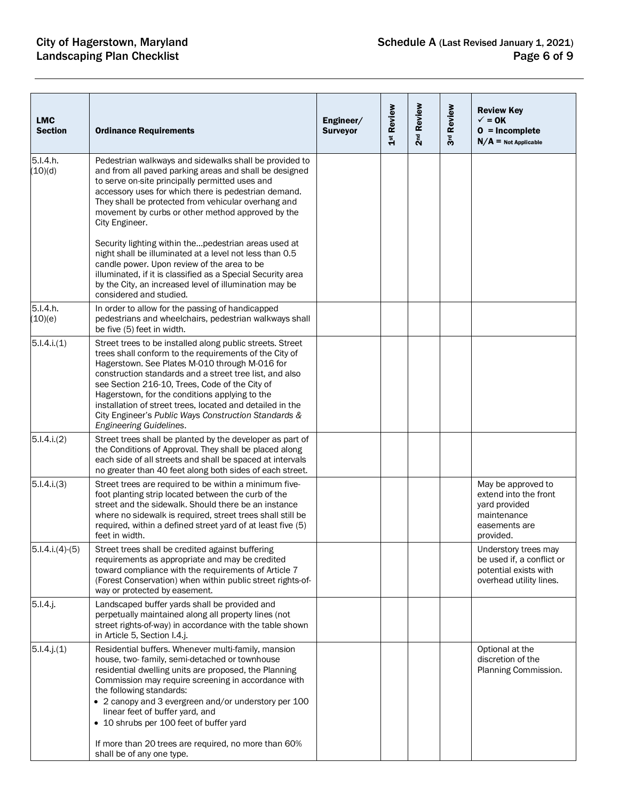| <b>LMC</b><br><b>Section</b> | <b>Ordinance Requirements</b>                                                                                                                                                                                                                                                                                                                                                                                                                                                        | Engineer/<br><b>Surveyor</b> | 1st Review | 2 <sup>nd</sup> Review | 3rd Review | <b>Review Key</b><br>$\checkmark$ = 0K<br>$0 = Incomplete$<br>$N/A$ = Not Applicable                      |
|------------------------------|--------------------------------------------------------------------------------------------------------------------------------------------------------------------------------------------------------------------------------------------------------------------------------------------------------------------------------------------------------------------------------------------------------------------------------------------------------------------------------------|------------------------------|------------|------------------------|------------|-----------------------------------------------------------------------------------------------------------|
| 5.I.4.h.<br>(10)(d)          | Pedestrian walkways and sidewalks shall be provided to<br>and from all paved parking areas and shall be designed<br>to serve on-site principally permitted uses and<br>accessory uses for which there is pedestrian demand.<br>They shall be protected from vehicular overhang and<br>movement by curbs or other method approved by the<br>City Engineer.                                                                                                                            |                              |            |                        |            |                                                                                                           |
|                              | Security lighting within thepedestrian areas used at<br>night shall be illuminated at a level not less than 0.5<br>candle power. Upon review of the area to be<br>illuminated, if it is classified as a Special Security area<br>by the City, an increased level of illumination may be<br>considered and studied.                                                                                                                                                                   |                              |            |                        |            |                                                                                                           |
| 5.I.4.h.<br>(10)(e)          | In order to allow for the passing of handicapped<br>pedestrians and wheelchairs, pedestrian walkways shall<br>be five (5) feet in width.                                                                                                                                                                                                                                                                                                                                             |                              |            |                        |            |                                                                                                           |
| 5.1.4.i(1)                   | Street trees to be installed along public streets. Street<br>trees shall conform to the requirements of the City of<br>Hagerstown. See Plates M-010 through M-016 for<br>construction standards and a street tree list, and also<br>see Section 216-10, Trees, Code of the City of<br>Hagerstown, for the conditions applying to the<br>installation of street trees, located and detailed in the<br>City Engineer's Public Ways Construction Standards &<br>Engineering Guidelines. |                              |            |                        |            |                                                                                                           |
| 5.1.4.i.(2)                  | Street trees shall be planted by the developer as part of<br>the Conditions of Approval. They shall be placed along<br>each side of all streets and shall be spaced at intervals<br>no greater than 40 feet along both sides of each street.                                                                                                                                                                                                                                         |                              |            |                        |            |                                                                                                           |
| 5.1.4.i.(3)                  | Street trees are required to be within a minimum five-<br>foot planting strip located between the curb of the<br>street and the sidewalk. Should there be an instance<br>where no sidewalk is required, street trees shall still be<br>required, within a defined street yard of at least five (5)<br>feet in width.                                                                                                                                                                 |                              |            |                        |            | May be approved to<br>extend into the front<br>yard provided<br>maintenance<br>easements are<br>provided. |
| $5.1.4.i.(4)-(5)$            | Street trees shall be credited against buffering<br>requirements as appropriate and may be credited<br>toward compliance with the requirements of Article 7<br>(Forest Conservation) when within public street rights-of-<br>way or protected by easement.                                                                                                                                                                                                                           |                              |            |                        |            | Understory trees may<br>be used if, a conflict or<br>potential exists with<br>overhead utility lines.     |
| $5.1.4.$ j.                  | Landscaped buffer yards shall be provided and<br>perpetually maintained along all property lines (not<br>street rights-of-way) in accordance with the table shown<br>in Article 5, Section I.4.j.                                                                                                                                                                                                                                                                                    |                              |            |                        |            |                                                                                                           |
| $5.1.4.$ j. $(1)$            | Residential buffers. Whenever multi-family, mansion<br>house, two-family, semi-detached or townhouse<br>residential dwelling units are proposed, the Planning<br>Commission may require screening in accordance with<br>the following standards:<br>• 2 canopy and 3 evergreen and/or understory per 100<br>linear feet of buffer yard, and<br>• 10 shrubs per 100 feet of buffer yard                                                                                               |                              |            |                        |            | Optional at the<br>discretion of the<br>Planning Commission.                                              |
|                              | If more than 20 trees are required, no more than 60%<br>shall be of any one type.                                                                                                                                                                                                                                                                                                                                                                                                    |                              |            |                        |            |                                                                                                           |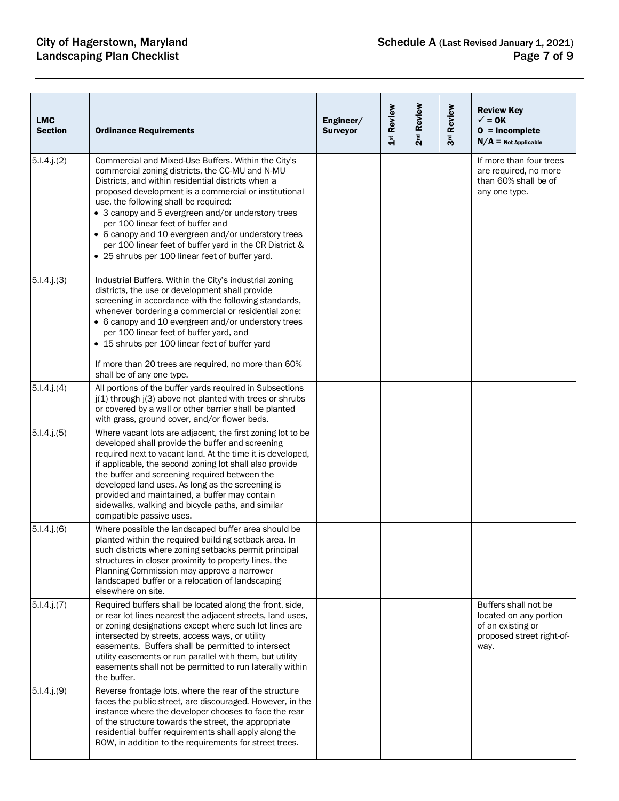| <b>LMC</b><br><b>Section</b> | <b>Ordinance Requirements</b>                                                                                                                                                                                                                                                                                                                                                                                                                                                                                                  | Engineer/<br><b>Surveyor</b> | 1st Review | 2 <sup>nd</sup> Review | 3rd Review | <b>Review Key</b><br>$\checkmark$ = 0K<br>$0 = Incomplete$<br>$N/A$ = Not Applicable                     |
|------------------------------|--------------------------------------------------------------------------------------------------------------------------------------------------------------------------------------------------------------------------------------------------------------------------------------------------------------------------------------------------------------------------------------------------------------------------------------------------------------------------------------------------------------------------------|------------------------------|------------|------------------------|------------|----------------------------------------------------------------------------------------------------------|
| $5.1.4.$ j. $(2)$            | Commercial and Mixed-Use Buffers. Within the City's<br>commercial zoning districts, the CC-MU and N-MU<br>Districts, and within residential districts when a<br>proposed development is a commercial or institutional<br>use, the following shall be required:<br>• 3 canopy and 5 evergreen and/or understory trees<br>per 100 linear feet of buffer and<br>• 6 canopy and 10 evergreen and/or understory trees<br>per 100 linear feet of buffer yard in the CR District &<br>• 25 shrubs per 100 linear feet of buffer yard. |                              |            |                        |            | If more than four trees<br>are required, no more<br>than 60% shall be of<br>any one type.                |
| $5.1.4.$ j.(3)               | Industrial Buffers. Within the City's industrial zoning<br>districts, the use or development shall provide<br>screening in accordance with the following standards,<br>whenever bordering a commercial or residential zone:<br>• 6 canopy and 10 evergreen and/or understory trees<br>per 100 linear feet of buffer yard, and<br>• 15 shrubs per 100 linear feet of buffer yard<br>If more than 20 trees are required, no more than 60%<br>shall be of any one type.                                                           |                              |            |                        |            |                                                                                                          |
| $5.1.4.$ j $(4)$             | All portions of the buffer yards required in Subsections<br>j(1) through j(3) above not planted with trees or shrubs<br>or covered by a wall or other barrier shall be planted<br>with grass, ground cover, and/or flower beds.                                                                                                                                                                                                                                                                                                |                              |            |                        |            |                                                                                                          |
| $5.1.4.$ j $(5)$             | Where vacant lots are adjacent, the first zoning lot to be<br>developed shall provide the buffer and screening<br>required next to vacant land. At the time it is developed,<br>if applicable, the second zoning lot shall also provide<br>the buffer and screening required between the<br>developed land uses. As long as the screening is<br>provided and maintained, a buffer may contain<br>sidewalks, walking and bicycle paths, and similar<br>compatible passive uses.                                                 |                              |            |                        |            |                                                                                                          |
| $5.1.4.$ j. $(6)$            | Where possible the landscaped buffer area should be<br>planted within the required building setback area. In<br>such districts where zoning setbacks permit principal<br>structures in closer proximity to property lines, the<br>Planning Commission may approve a narrower<br>landscaped buffer or a relocation of landscaping<br>elsewhere on site.                                                                                                                                                                         |                              |            |                        |            |                                                                                                          |
| $5.1.4.$ j. $(7)$            | Required buffers shall be located along the front, side,<br>or rear lot lines nearest the adjacent streets, land uses,<br>or zoning designations except where such lot lines are<br>intersected by streets, access ways, or utility<br>easements. Buffers shall be permitted to intersect<br>utility easements or run parallel with them, but utility<br>easements shall not be permitted to run laterally within<br>the buffer.                                                                                               |                              |            |                        |            | Buffers shall not be<br>located on any portion<br>of an existing or<br>proposed street right-of-<br>way. |
| $5.1.4.$ j. $(9)$            | Reverse frontage lots, where the rear of the structure<br>faces the public street, are discouraged. However, in the<br>instance where the developer chooses to face the rear<br>of the structure towards the street, the appropriate<br>residential buffer requirements shall apply along the<br>ROW, in addition to the requirements for street trees.                                                                                                                                                                        |                              |            |                        |            |                                                                                                          |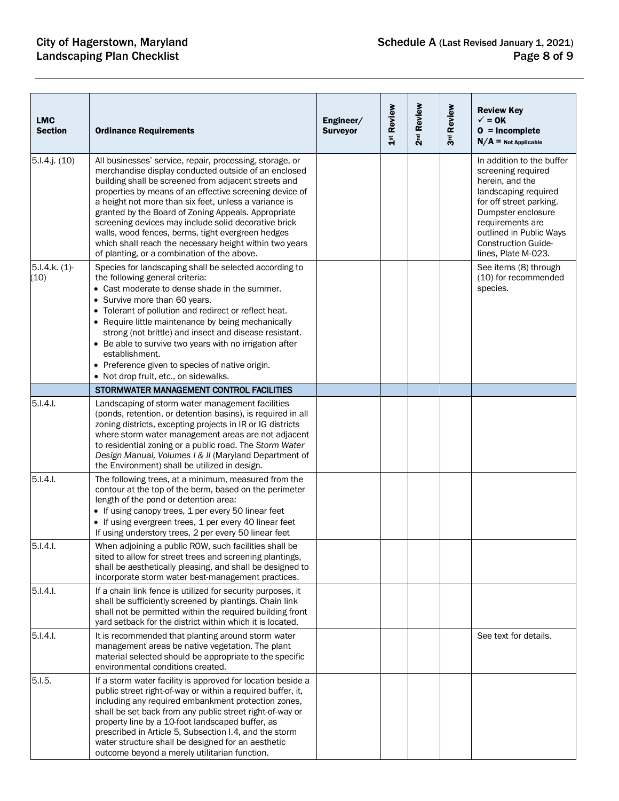| <b>LMC</b><br><b>Section</b> | <b>Ordinance Requirements</b>                                                                                                                                                                                                                                                                                                                                                                                                                                                                                                                                              | Engineer/<br><b>Surveyor</b> | 1st Review | 2 <sup>nd</sup> Review | 3rd Review | <b>Review Key</b><br>$\checkmark$ = 0K<br>$0 = Incomplete$<br>$N/A$ = Not Applicable                                                                                                                                                            |
|------------------------------|----------------------------------------------------------------------------------------------------------------------------------------------------------------------------------------------------------------------------------------------------------------------------------------------------------------------------------------------------------------------------------------------------------------------------------------------------------------------------------------------------------------------------------------------------------------------------|------------------------------|------------|------------------------|------------|-------------------------------------------------------------------------------------------------------------------------------------------------------------------------------------------------------------------------------------------------|
| $5.1.4$ .j. $(10)$           | All businesses' service, repair, processing, storage, or<br>merchandise display conducted outside of an enclosed<br>building shall be screened from adjacent streets and<br>properties by means of an effective screening device of<br>a height not more than six feet, unless a variance is<br>granted by the Board of Zoning Appeals. Appropriate<br>screening devices may include solid decorative brick<br>walls, wood fences, berms, tight evergreen hedges<br>which shall reach the necessary height within two years<br>of planting, or a combination of the above. |                              |            |                        |            | In addition to the buffer<br>screening required<br>herein, and the<br>landscaping required<br>for off street parking.<br>Dumpster enclosure<br>requirements are<br>outlined in Public Ways<br><b>Construction Guide-</b><br>lines, Plate M-023. |
| 5.1.4.k. (1)<br>(10)         | Species for landscaping shall be selected according to<br>the following general criteria:<br>• Cast moderate to dense shade in the summer.<br>• Survive more than 60 years.<br>• Tolerant of pollution and redirect or reflect heat.<br>• Require little maintenance by being mechanically<br>strong (not brittle) and insect and disease resistant.<br>• Be able to survive two years with no irrigation after<br>establishment.<br>• Preference given to species of native origin.<br>• Not drop fruit, etc., on sidewalks.                                              |                              |            |                        |            | See items (8) through<br>(10) for recommended<br>species.                                                                                                                                                                                       |
|                              | STORMWATER MANAGEMENT CONTROL FACILITIES                                                                                                                                                                                                                                                                                                                                                                                                                                                                                                                                   |                              |            |                        |            |                                                                                                                                                                                                                                                 |
| 5.1.4.1                      | Landscaping of storm water management facilities<br>(ponds, retention, or detention basins), is required in all<br>zoning districts, excepting projects in IR or IG districts<br>where storm water management areas are not adjacent<br>to residential zoning or a public road. The Storm Water<br>Design Manual, Volumes I & II (Maryland Department of<br>the Environment) shall be utilized in design.                                                                                                                                                                  |                              |            |                        |            |                                                                                                                                                                                                                                                 |
| 5.1.4.1                      | The following trees, at a minimum, measured from the<br>contour at the top of the berm, based on the perimeter<br>length of the pond or detention area:<br>• If using canopy trees, 1 per every 50 linear feet<br>• If using evergreen trees, 1 per every 40 linear feet<br>If using understory trees, 2 per every 50 linear feet                                                                                                                                                                                                                                          |                              |            |                        |            |                                                                                                                                                                                                                                                 |
| 5.I.4.I.                     | When adjoining a public ROW, such facilities shall be<br>sited to allow for street trees and screening plantings,<br>shall be aesthetically pleasing, and shall be designed to<br>incorporate storm water best-management practices.                                                                                                                                                                                                                                                                                                                                       |                              |            |                        |            |                                                                                                                                                                                                                                                 |
| 5.1.4.1                      | If a chain link fence is utilized for security purposes, it<br>shall be sufficiently screened by plantings. Chain link<br>shall not be permitted within the required building front<br>yard setback for the district within which it is located.                                                                                                                                                                                                                                                                                                                           |                              |            |                        |            |                                                                                                                                                                                                                                                 |
| $5.1.4.1$ .                  | It is recommended that planting around storm water<br>management areas be native vegetation. The plant<br>material selected should be appropriate to the specific<br>environmental conditions created.                                                                                                                                                                                                                                                                                                                                                                     |                              |            |                        |            | See text for details.                                                                                                                                                                                                                           |
| 5.1.5.                       | If a storm water facility is approved for location beside a<br>public street right-of-way or within a required buffer, it,<br>including any required embankment protection zones,<br>shall be set back from any public street right-of-way or<br>property line by a 10-foot landscaped buffer, as<br>prescribed in Article 5, Subsection I.4, and the storm<br>water structure shall be designed for an aesthetic<br>outcome beyond a merely utilitarian function.                                                                                                         |                              |            |                        |            |                                                                                                                                                                                                                                                 |